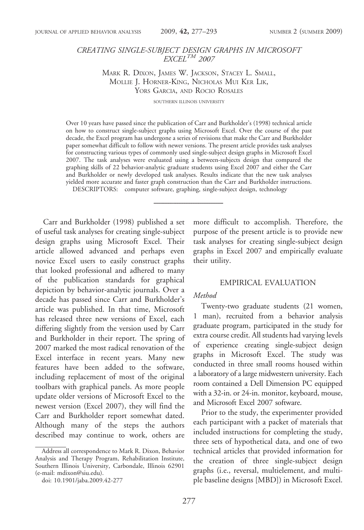## CREATING SINGLE-SUBJECT DESIGN GRAPHS IN MICROSOFT  $\sqrt{EXCELL^{TM}}$  2007

MARK R. DIXON, JAMES W. JACKSON, STACEY L. SMALL, MOLLIE J. HORNER-KING, NICHOLAS MUI KER LIK, YORS GARCIA, AND ROCIO ROSALES

SOUTHERN ILLINOIS UNIVERSITY

Over 10 years have passed since the publication of Carr and Burkholder's (1998) technical article on how to construct single-subject graphs using Microsoft Excel. Over the course of the past decade, the Excel program has undergone a series of revisions that make the Carr and Burkholder paper somewhat difficult to follow with newer versions. The present article provides task analyses for constructing various types of commonly used single-subject design graphs in Microsoft Excel 2007. The task analyses were evaluated using a between-subjects design that compared the graphing skills of 22 behavior-analytic graduate students using Excel 2007 and either the Carr and Burkholder or newly developed task analyses. Results indicate that the new task analyses yielded more accurate and faster graph construction than the Carr and Burkholder instructions.

DESCRIPTORS: computer software, graphing, single-subject design, technology

Carr and Burkholder (1998) published a set of useful task analyses for creating single-subject design graphs using Microsoft Excel. Their article allowed advanced and perhaps even novice Excel users to easily construct graphs that looked professional and adhered to many of the publication standards for graphical depiction by behavior-analytic journals. Over a decade has passed since Carr and Burkholder's article was published. In that time, Microsoft has released three new versions of Excel, each differing slightly from the version used by Carr and Burkholder in their report. The spring of 2007 marked the most radical renovation of the Excel interface in recent years. Many new features have been added to the software, including replacement of most of the original toolbars with graphical panels. As more people update older versions of Microsoft Excel to the newest version (Excel 2007), they will find the Carr and Burkholder report somewhat dated. Although many of the steps the authors described may continue to work, others are

more difficult to accomplish. Therefore, the purpose of the present article is to provide new task analyses for creating single-subject design graphs in Excel 2007 and empirically evaluate their utility.

#### EMPIRICAL EVALUATION

## Method

Twenty-two graduate students (21 women, 1 man), recruited from a behavior analysis graduate program, participated in the study for extra course credit. All students had varying levels of experience creating single-subject design graphs in Microsoft Excel. The study was conducted in three small rooms housed within a laboratory of a large midwestern university. Each room contained a Dell Dimension PC equipped with a 32-in. or 24-in. monitor, keyboard, mouse, and Microsoft Excel 2007 software.

Prior to the study, the experimenter provided each participant with a packet of materials that included instructions for completing the study, three sets of hypothetical data, and one of two technical articles that provided information for the creation of three single-subject design graphs (i.e., reversal, multielement, and multiple baseline designs [MBD]) in Microsoft Excel.

Address all correspondence to Mark R. Dixon, Behavior Analysis and Therapy Program, Rehabilitation Institute, Southern Illinois University, Carbondale, Illinois 62901 (e-mail: mdixon@siu.edu).

doi: 10.1901/jaba.2009.42-277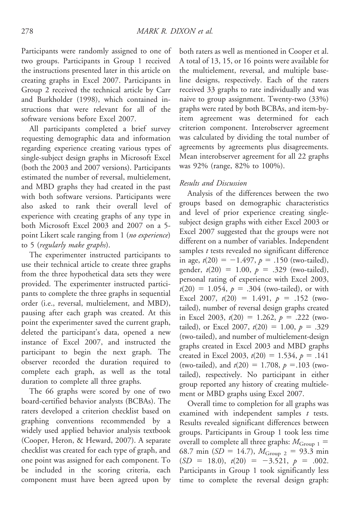Participants were randomly assigned to one of two groups. Participants in Group 1 received the instructions presented later in this article on creating graphs in Excel 2007. Participants in Group 2 received the technical article by Carr and Burkholder (1998), which contained instructions that were relevant for all of the software versions before Excel 2007.

All participants completed a brief survey requesting demographic data and information regarding experience creating various types of single-subject design graphs in Microsoft Excel (both the 2003 and 2007 versions). Participants estimated the number of reversal, multielement, and MBD graphs they had created in the past with both software versions. Participants were also asked to rank their overall level of experience with creating graphs of any type in both Microsoft Excel 2003 and 2007 on a 5 point Likert scale ranging from 1 (no experience) to 5 (regularly make graphs).

The experimenter instructed participants to use their technical article to create three graphs from the three hypothetical data sets they were provided. The experimenter instructed participants to complete the three graphs in sequential order (i.e., reversal, multielement, and MBD), pausing after each graph was created. At this point the experimenter saved the current graph, deleted the participant's data, opened a new instance of Excel 2007, and instructed the participant to begin the next graph. The observer recorded the duration required to complete each graph, as well as the total duration to complete all three graphs.

The 66 graphs were scored by one of two board-certified behavior analysts (BCBAs). The raters developed a criterion checklist based on graphing conventions recommended by a widely used applied behavior analysis textbook (Cooper, Heron, & Heward, 2007). A separate checklist was created for each type of graph, and one point was assigned for each component. To be included in the scoring criteria, each component must have been agreed upon by

both raters as well as mentioned in Cooper et al. A total of 13, 15, or 16 points were available for the multielement, reversal, and multiple baseline designs, respectively. Each of the raters received 33 graphs to rate individually and was naive to group assignment. Twenty-two (33%) graphs were rated by both BCBAs, and item-byitem agreement was determined for each criterion component. Interobserver agreement was calculated by dividing the total number of agreements by agreements plus disagreements. Mean interobserver agreement for all 22 graphs was 92% (range, 82% to 100%).

## Results and Discussion

Analysis of the differences between the two groups based on demographic characteristics and level of prior experience creating singlesubject design graphs with either Excel 2003 or Excel 2007 suggested that the groups were not different on a number of variables. Independent samples  $t$  tests revealed no significant difference in age,  $t(20) = -1.497$ ,  $p = .150$  (two-tailed), gender,  $t(20) = 1.00$ ,  $p = .329$  (two-tailed), personal rating of experience with Excel 2003,  $t(20) = 1.054, p = .304$  (two-tailed), or with Excel 2007,  $t(20) = 1.491$ ,  $p = .152$  (twotailed), number of reversal design graphs created in Excel 2003,  $t(20) = 1.262$ ,  $p = .222$  (twotailed), or Excel 2007,  $t(20) = 1.00$ ,  $p = .329$ (two-tailed), and number of multielement-design graphs created in Excel 2003 and MBD graphs created in Excel 2003,  $t(20) = 1.534$ ,  $p = .141$ (two-tailed), and  $t(20) = 1.708$ ,  $p = 1.103$  (twotailed), respectively. No participant in either group reported any history of creating multielement or MBD graphs using Excel 2007.

Overall time to completion for all graphs was examined with independent samples  $t$  tests. Results revealed significant differences between groups. Participants in Group 1 took less time overall to complete all three graphs:  $M_{\text{Group 1}} =$ 68.7 min (SD = 14.7),  $M_{Group 2} = 93.3$  min  $(SD = 18.0), t(20) = -3.521, p = .002.$ Participants in Group 1 took significantly less time to complete the reversal design graph: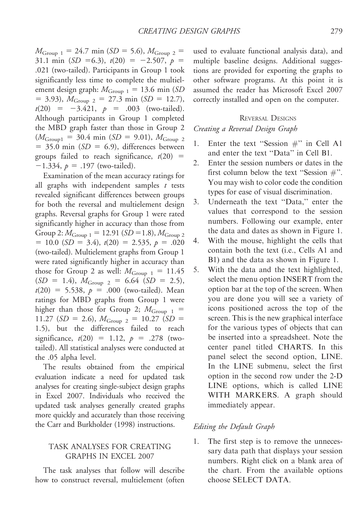$M_{Group 1} = 24.7 \text{ min } (SD = 5.6), M_{Group 2} =$ 31.1 min (SD = 6.3),  $t(20) = -2.507$ ,  $p =$ .021 (two-tailed). Participants in Group 1 took significantly less time to complete the multielement design graph:  $M_{Group 1} = 13.6$  min (SD)  $=$  3.93),  $M_{Group 2} = 27.3 \text{ min (SD = 12.7)}$ ,  $t(20) = -3.421$ ,  $p = .003$  (two-tailed). Although participants in Group 1 completed the MBD graph faster than those in Group 2  $(M_{\text{Group 1}} = 30.4 \text{ min} (SD = 9.01), M_{\text{Group 2}}$  $=$  35.0 min (SD = 6.9), differences between groups failed to reach significance,  $t(20) =$  $-1.334, p = .197$  (two-tailed).

Examination of the mean accuracy ratings for all graphs with independent samples  $t$  tests revealed significant differences between groups for both the reversal and multielement design graphs. Reversal graphs for Group 1 were rated significantly higher in accuracy than those from Group 2:  $M_{Group 1} = 12.91$  (SD = 1.8),  $M_{Group 2}$  $= 10.0$  (SD  $= 3.4$ ),  $t(20) = 2.535, p = .020$ (two-tailed). Multielement graphs from Group 1 were rated significantly higher in accuracy than those for Group 2 as well:  $M_{Group 1} = 11.45$  $(SD = 1.4)$ ,  $M_{Group 2} = 6.64$   $(SD = 2.5)$ ,  $t(20) = 5.538, p = .000$  (two-tailed). Mean ratings for MBD graphs from Group 1 were higher than those for Group 2;  $M_{\text{Group 1}} =$ 11.27 (SD = 2.6),  $M_{\text{Group 2}} = 10.27$  (SD = 1.5), but the differences failed to reach significance,  $t(20) = 1.12$ ,  $p = .278$  (twotailed). All statistical analyses were conducted at the .05 alpha level.

The results obtained from the empirical evaluation indicate a need for updated task analyses for creating single-subject design graphs in Excel 2007. Individuals who received the updated task analyses generally created graphs more quickly and accurately than those receiving the Carr and Burkholder (1998) instructions.

## TASK ANALYSES FOR CREATING GRAPHS IN EXCEL 2007

The task analyses that follow will describe how to construct reversal, multielement (often

used to evaluate functional analysis data), and multiple baseline designs. Additional suggestions are provided for exporting the graphs to other software programs. At this point it is assumed the reader has Microsoft Excel 2007 correctly installed and open on the computer.

#### REVERSAL DESIGNS

#### Creating a Reversal Design Graph

- 1. Enter the text "Session  $#$ " in Cell A1 and enter the text ''Data'' in Cell B1.
- 2. Enter the session numbers or dates in the first column below the text "Session  $\#$ ". You maywish to color code the condition types for ease of visual discrimination.
- 3. Underneath the text ''Data,'' enter the values that correspond to the session numbers. Following our example, enter the data and dates as shown in Figure 1.
- 4. With the mouse, highlight the cells that contain both the text (i.e., Cells A1 and B1) and the data as shown in Figure 1.
- 5. With the data and the text highlighted, select the menu option INSERT from the option bar at the top of the screen. When you are done you will see a variety of icons positioned across the top of the screen. This is the new graphical interface for the various types of objects that can be inserted into a spreadsheet. Note the center panel titled CHARTS. In this panel select the second option, LINE. In the LINE submenu, select the first option in the second row under the 2-D LINE options, which is called LINE WITH MARKERS. A graph should immediately appear.

### Editing the Default Graph

1. The first step is to remove the unnecessary data path that displays your session numbers. Right click on a blank area of the chart. From the available options choose SELECT DATA.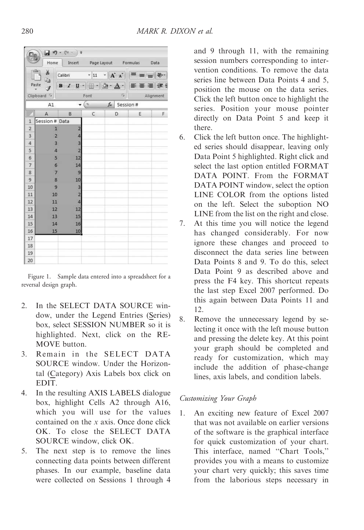| 日め<br>炭<br>뵤<br>Home<br>Insert<br>Page Layout<br>Formulas<br>Data |                 |                         |                       |                                                    |                                                 |   |  |  |
|-------------------------------------------------------------------|-----------------|-------------------------|-----------------------|----------------------------------------------------|-------------------------------------------------|---|--|--|
| X<br>G)<br>Paste<br>Clipboard <sup>5</sup>                        |                 | Calibri<br>$B$ $I$<br>U | ŵ<br> 11<br>E<br>Font | $A^{\uparrow}$ $A^{\uparrow}$<br>$\mathbf{A}$<br>匾 | ≡<br>$\mathfrak{P}_{\mathbb{Z}}$ .<br>Alignment |   |  |  |
|                                                                   | A1              |                         | in.                   | $f_{\rm x}$<br>Session #                           |                                                 |   |  |  |
|                                                                   | $\overline{A}$  | B                       | $\mathsf{C}$          | D.                                                 | E                                               | F |  |  |
| 1                                                                 | Session # Data  |                         |                       |                                                    |                                                 |   |  |  |
| $\overline{2}$                                                    | $\mathbf 1$     |                         |                       |                                                    |                                                 |   |  |  |
| $\overline{3}$                                                    | $\overline{2}$  | $\frac{2}{4}$           |                       |                                                    |                                                 |   |  |  |
| $\overline{4}$                                                    | $\overline{3}$  | $\frac{3}{2}$           |                       |                                                    |                                                 |   |  |  |
| 5                                                                 | $\overline{4}$  |                         |                       |                                                    |                                                 |   |  |  |
| $6\phantom{1}$                                                    | 5 <sub>5</sub>  | 12                      |                       |                                                    |                                                 |   |  |  |
| $\overline{7}$                                                    | $6\overline{6}$ | 14                      |                       |                                                    |                                                 |   |  |  |
| $\boldsymbol{8}$                                                  | $\overline{z}$  | 9                       |                       |                                                    |                                                 |   |  |  |
| $\overline{9}$                                                    | 8               | 10                      |                       |                                                    |                                                 |   |  |  |
| 10                                                                | $\overline{9}$  | 3                       |                       |                                                    |                                                 |   |  |  |
| 11                                                                | 10              | $\overline{2}$          |                       |                                                    |                                                 |   |  |  |
| 12                                                                | 11              | 4                       |                       |                                                    |                                                 |   |  |  |
| 13                                                                | 12              | 12                      |                       |                                                    |                                                 |   |  |  |
| 14                                                                | 13              | 15                      |                       |                                                    |                                                 |   |  |  |
| 15                                                                | 14              | 16                      |                       |                                                    |                                                 |   |  |  |
| 16                                                                | 15              | 10                      |                       |                                                    |                                                 |   |  |  |
| 17                                                                |                 |                         |                       |                                                    |                                                 |   |  |  |
| 18                                                                |                 |                         |                       |                                                    |                                                 |   |  |  |
| 19                                                                |                 |                         |                       |                                                    |                                                 |   |  |  |
| 20                                                                |                 |                         |                       |                                                    |                                                 |   |  |  |

Figure 1. Sample data entered into a spreadsheet for a reversal design graph.

- 2. In the SELECT DATA SOURCE window, under the Legend Entries (Series) box, select SESSION NUMBER so it is highlighted. Next, click on the RE-MOVE button.
- 3. Remain in the SELECT DATA SOURCE window. Under the Horizontal (Category) Axis Labels box click on EDIT.
- 4. In the resulting AXIS LABELS dialogue box, highlight Cells A2 through A16, which you will use for the values contained on the x axis. Once done click OK. To close the SELECT DATA SOURCE window, click OK.
- 5. The next step is to remove the lines connecting data points between different phases. In our example, baseline data were collected on Sessions 1 through 4

and 9 through 11, with the remaining session numbers corresponding to intervention conditions. To remove the data series line between Data Points 4 and 5, position the mouse on the data series. Click the left button once to highlight the series. Position your mouse pointer directly on Data Point 5 and keep it there.

- 6. Click the left button once. The highlighted series should disappear, leaving only Data Point 5 highlighted. Right click and select the last option entitled FORMAT DATA POINT. From the FORMAT DATA POINT window, select the option LINE COLOR from the options listed on the left. Select the suboption NO LINE from the list on the right and close.
- 7. At this time you will notice the legend has changed considerably. For now ignore these changes and proceed to disconnect the data series line between Data Points 8 and 9. To do this, select Data Point 9 as described above and press the F4 key. This shortcut repeats the last step Excel 2007 performed. Do this again between Data Points 11 and 12.
- 8. Remove the unnecessary legend by selecting it once with the left mouse button and pressing the delete key. At this point your graph should be completed and ready for customization, which may include the addition of phase-change lines, axis labels, and condition labels.

## Customizing Your Graph

1. An exciting new feature of Excel 2007 that was not available on earlier versions of the software is the graphical interface for quick customization of your chart. This interface, named ''Chart Tools,'' provides you with a means to customize your chart very quickly; this saves time from the laborious steps necessary in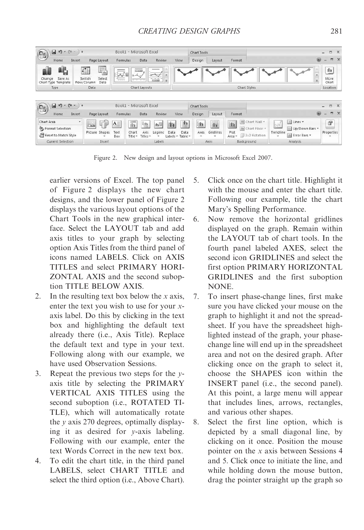

Figure 2. New design and layout options in Microsoft Excel 2007.

earlier versions of Excel. The top panel of Figure 2 displays the new chart designs, and the lower panel of Figure 2 displays the various layout options of the Chart Tools in the new graphical interface. Select the LAYOUT tab and add axis titles to your graph by selecting option Axis Titles from the third panel of icons named LABELS. Click on AXIS TITLES and select PRIMARY HORI-ZONTAL AXIS and the second suboption TITLE BELOW AXIS.

- 2. In the resulting text box below the  $x$  axis, enter the text you wish to use for your xaxis label. Do this byclicking in the text box and highlighting the default text already there (i.e., Axis Title). Replace the default text and type in your text. Following along with our example, we have used Observation Sessions.
- 3. Repeat the previous two steps for the  $\nu$ axis title by selecting the PRIMARY VERTICAL AXIS TITLES using the second suboption (i.e., ROTATED TI-TLE), which will automatically rotate the  $\nu$  axis 270 degrees, optimally displaying it as desired for y-axis labeling. Following with our example, enter the text Words Correct in the new text box.
- 4. To edit the chart title, in the third panel LABELS, select CHART TITLE and select the third option (i.e., Above Chart).
- 5. Click once on the chart title. Highlight it with the mouse and enter the chart title. Following our example, title the chart Mary's Spelling Performance.
- 6. Now remove the horizontal gridlines displayed on the graph. Remain within the LAYOUT tab of chart tools. In the fourth panel labeled AXES, select the second icon GRIDLINES and select the first option PRIMARY HORIZONTAL GRIDLINES and the first suboption NONE.
- 7. To insert phase-change lines, first make sure you have clicked your mouse on the graph to highlight it and not the spreadsheet. If you have the spreadsheet highlighted instead of the graph, your phasechange line will end up in the spreadsheet area and not on the desired graph. After clicking once on the graph to select it, choose the SHAPES icon within the INSERT panel (i.e., the second panel). At this point, a large menu will appear that includes lines, arrows, rectangles, and various other shapes.
- 8. Select the first line option, which is depicted bya small diagonal line, by clicking on it once. Position the mouse pointer on the x axis between Sessions 4 and 5. Click once to initiate the line, and while holding down the mouse button, drag the pointer straight up the graph so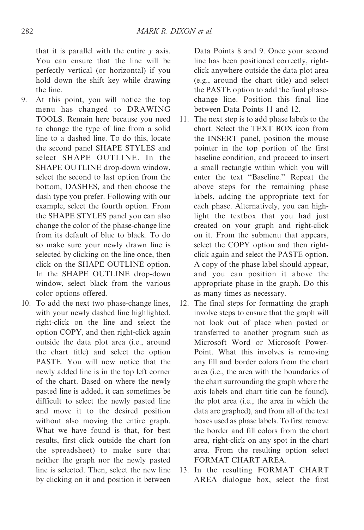that it is parallel with the entire  $\nu$  axis. You can ensure that the line will be perfectly vertical (or horizontal) if you hold down the shift keywhile drawing the line.

- 9. At this point, you will notice the top menu has changed to DRAWING TOOLS. Remain here because you need to change the type of line from a solid line to a dashed line. To do this, locate the second panel SHAPE STYLES and select SHAPE OUTLINE. In the SHAPE OUTLINE drop-down window, select the second to last option from the bottom, DASHES, and then choose the dash type you prefer. Following with our example, select the fourth option. From the SHAPE STYLES panel you can also change the color of the phase-change line from its default of blue to black. To do so make sure your newly drawn line is selected by clicking on the line once, then click on the SHAPE OUTLINE option. In the SHAPE OUTLINE drop-down window, select black from the various color options offered.
- 10. To add the next two phase-change lines, with your newly dashed line highlighted, right-click on the line and select the option COPY, and then right-click again outside the data plot area (i.e., around the chart title) and select the option PASTE. You will now notice that the newlyadded line is in the top left corner of the chart. Based on where the newly pasted line is added, it can sometimes be difficult to select the newly pasted line and move it to the desired position without also moving the entire graph. What we have found is that, for best results, first click outside the chart (on the spreadsheet) to make sure that neither the graph nor the newly pasted line is selected. Then, select the new line byclicking on it and position it between

Data Points 8 and 9. Once your second line has been positioned correctly, rightclick anywhere outside the data plot area (e.g., around the chart title) and select the PASTE option to add the final phasechange line. Position this final line between Data Points 11 and 12.

- 11. The next step is to add phase labels to the chart. Select the TEXT BOX icon from the INSERT panel, position the mouse pointer in the top portion of the first baseline condition, and proceed to insert a small rectangle within which you will enter the text ''Baseline.'' Repeat the above steps for the remaining phase labels, adding the appropriate text for each phase. Alternatively, you can highlight the textbox that you had just created on your graph and right-click on it. From the submenu that appears, select the COPY option and then rightclick again and select the PASTE option. A copyof the phase label should appear, and you can position it above the appropriate phase in the graph. Do this as manytimes as necessary.
- 12. The final steps for formatting the graph involve steps to ensure that the graph will not look out of place when pasted or transferred to another program such as Microsoft Word or Microsoft Power-Point. What this involves is removing anyfill and border colors from the chart area (i.e., the area with the boundaries of the chart surrounding the graph where the axis labels and chart title can be found), the plot area (i.e., the area in which the data are graphed), and from all of the text boxes used as phase labels. To first remove the border and fill colors from the chart area, right-click on anyspot in the chart area. From the resulting option select FORMAT CHART AREA.
- 13. In the resulting FORMAT CHART AREA dialogue box, select the first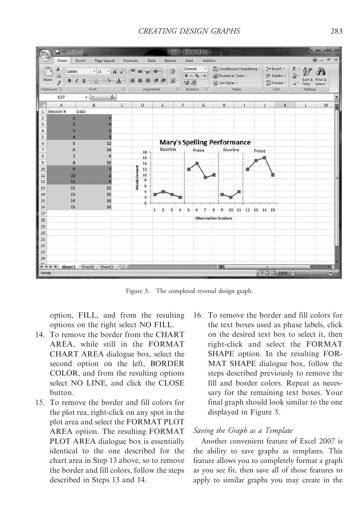## CREATING DESIGN GRAPHS 283



Figure 3. The completed reversal design graph.

option, FILL, and from the resulting options on the right select NO FILL.

- 14. To remove the border from the CHART AREA, while still in the FORMAT CHART AREA dialogue box, select the second option on the left, BORDER COLOR, and from the resulting options select NO LINE, and click the CLOSE button.
- 15. To remove the border and fill colors for the plot rea, right-click on anyspot in the plot area and select the FORMAT PLOT AREA option. The resulting FORMAT PLOT AREA dialogue box is essentially identical to the one described for the chart area in Step 13 above, so to remove the border and fill colors, follow the steps described in Steps 13 and 14.
- 16. To remove the border and fill colors for the text boxes used as phase labels, click on the desired text box to select it, then right-click and select the FORMAT SHAPE option. In the resulting FOR-MAT SHAPE dialogue box, follow the steps described previously to remove the fill and border colors. Repeat as necessary for the remaining text boxes. Your final graph should look similar to the one displayed in Figure 3.

### Saving the Graph as a Template

Another convenient feature of Excel 2007 is the ability to save graphs as templates. This feature allows you to completely format a graph as you see fit, then save all of those features to apply to similar graphs you may create in the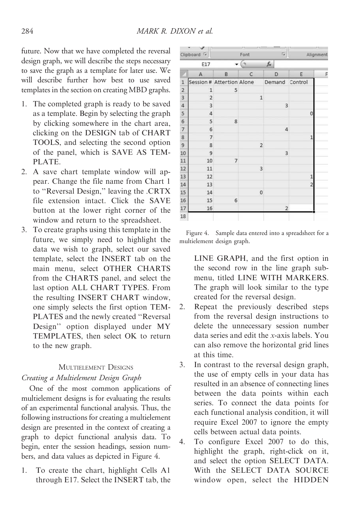future. Now that we have completed the reversal design graph, we will describe the steps necessary to save the graph as a template for later use. We will describe further how best to use saved templates in the section on creating MBD graphs.

- 1. The completed graph is ready to be saved as a template. Begin byselecting the graph by clicking somewhere in the chart area, clicking on the DESIGN tab of CHART TOOLS, and selecting the second option of the panel, which is SAVE AS TEM-PLATE.
- 2. A save chart template window will appear. Change the file name from Chart 1 to ''Reversal Design,'' leaving the .CRTX file extension intact. Click the SAVE button at the lower right corner of the window and return to the spreadsheet.
- 3. To create graphs using this template in the future, we simply need to highlight the data we wish to graph, select our saved template, select the INSERT tab on the main menu, select OTHER CHARTS from the CHARTS panel, and select the last option ALL CHART TYPES. From the resulting INSERT CHART window, one simply selects the first option TEM-PLATES and the newly created "Reversal Design'' option displayed under MY TEMPLATES, then select OK to return to the new graph.

#### MULTIELEMENT DESIGNS

#### Creating a Multielement Design Graph

One of the most common applications of multielement designs is for evaluating the results of an experimental functional analysis. Thus, the following instructions for creating a multielement design are presented in the context of creating a graph to depict functional analysis data. To begin, enter the session headings, session numbers, and data values as depicted in Figure 4.

1. To create the chart, highlight Cells A1 through E17. Select the INSERT tab, the

| Alignment |               | $\overline{t_{\rm M}}$ |             | Clipboard <sup>Ta</sup> |                           |                |                         |
|-----------|---------------|------------------------|-------------|-------------------------|---------------------------|----------------|-------------------------|
|           |               |                        | $f_{\rm x}$ | in                      |                           | E17            |                         |
| F         | E             | D                      |             | C                       | B                         | A              |                         |
|           | Control       | Demand                 |             |                         | Session # Attertion Alone |                | $\mathbf 1$             |
|           |               |                        |             |                         | 5                         | $\mathbf{1}$   | $\overline{\mathbf{c}}$ |
|           |               |                        |             | $\overline{1}$          |                           | $\overline{2}$ | 3                       |
|           |               | $^{\rm 3}$             |             |                         |                           | 3              | $\overline{4}$          |
|           | 0             |                        |             |                         |                           | $\overline{a}$ |                         |
|           |               |                        |             |                         | 8                         | 5              | $\frac{5}{6}$           |
|           |               | $\overline{a}$         |             |                         |                           | $\sqrt{6}$     | 7                       |
|           | $\mathbf{1}$  |                        |             |                         |                           | $\overline{7}$ | 8                       |
|           |               |                        |             | $\overline{2}$          |                           | $\bf 8$        | 9                       |
|           |               | 3                      |             |                         |                           | 9              | 10                      |
|           |               |                        |             |                         | $\overline{7}$            | 10             | $11\,$                  |
|           |               |                        |             | 3                       |                           | 11             | 12                      |
|           | $\frac{1}{2}$ |                        |             |                         |                           | 12             | 13                      |
|           |               |                        |             |                         |                           | 13             | 14                      |
|           |               |                        |             | $\mathbf{0}$            |                           | 14             | 15                      |
|           |               |                        |             |                         | 6                         | 15             | 16                      |
|           |               | $\overline{2}$         |             |                         |                           | 16             | 17                      |
|           |               |                        |             |                         |                           |                | 18                      |

Figure 4. Sample data entered into a spreadsheet for a multielement design graph.

LINE GRAPH, and the first option in the second row in the line graph submenu, titled LINE WITH MARKERS. The graph will look similar to the type created for the reversal design.

- 2. Repeat the previously described steps from the reversal design instructions to delete the unnecessary session number data series and edit the x-axis labels. You can also remove the horizontal grid lines at this time.
- 3. In contrast to the reversal design graph, the use of empty cells in your data has resulted in an absence of connecting lines between the data points within each series. To connect the data points for each functional analysis condition, it will require Excel 2007 to ignore the empty cells between actual data points.
- 4. To configure Excel 2007 to do this, highlight the graph, right-click on it, and select the option SELECT DATA. With the SELECT DATA SOURCE window open, select the HIDDEN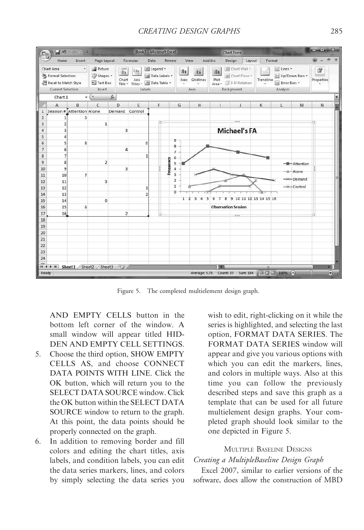# CREATING DESIGN GRAPHS 285



Figure 5. The completed multielement design graph.

AND EMPTY CELLS button in the bottom left corner of the window. A small window will appear titled HID-DEN AND EMPTY CELL SETTINGS.

- 5. Choose the third option, SHOW EMPTY CELLS AS, and choose CONNECT DATA POINTS WITH LINE. Click the OK button, which will return you to the SELECT DATA SOURCE window. Click the OK button within the SELECT DATA SOURCE window to return to the graph. At this point, the data points should be properly connected on the graph.
- 6. In addition to removing border and fill colors and editing the chart titles, axis labels, and condition labels, you can edit the data series markers, lines, and colors by simply selecting the data series you

wish to edit, right-clicking on it while the series is highlighted, and selecting the last option, FORMAT DATA SERIES. The FORMAT DATA SERIES window will appear and give you various options with which you can edit the markers, lines, and colors in multiple ways. Also at this time you can follow the previously described steps and save this graph as a template that can be used for all future multielement design graphs. Your completed graph should look similar to the one depicted in Figure 5.

### MULTIPLE BASELINE DESIGNS

### Creating a MultipleBaseline Design Graph

Excel 2007, similar to earlier versions of the software, does allow the construction of MBD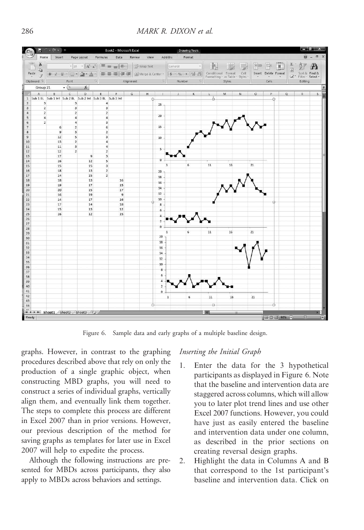286 MARK R. DIXON et al.



Figure 6. Sample data and early graphs of a multiple baseline design.

graphs. However, in contrast to the graphing procedures described above that rely on only the production of a single graphic object, when constructing MBD graphs, you will need to construct a series of individual graphs, vertically align them, and eventually link them together. The steps to complete this process are different in Excel 2007 than in prior versions. However, our previous description of the method for saving graphs as templates for later use in Excel 2007 will help to expedite the process.

Although the following instructions are presented for MBDs across participants, they also apply to MBDs across behaviors and settings.

### Inserting the Initial Graph

- 1. Enter the data for the 3 hypothetical participants as displayed in Figure 6. Note that the baseline and intervention data are staggered across columns, which will allow you to later plot trend lines and use other Excel 2007 functions. However, you could have just as easily entered the baseline and intervention data under one column, as described in the prior sections on creating reversal design graphs.
- 2. Highlight the data in Columns A and B that correspond to the 1st participant's baseline and intervention data. Click on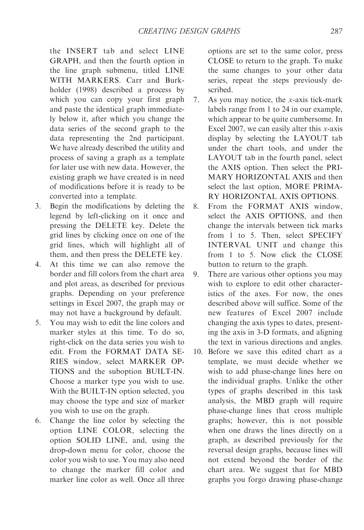the INSERT tab and select LINE GRAPH, and then the fourth option in the line graph submenu, titled LINE WITH MARKERS. Carr and Burkholder (1998) described a process by which you can copy your first graph and paste the identical graph immediatelybelow it, after which you change the data series of the second graph to the data representing the 2nd participant. We have already described the utility and process of saving a graph as a template for later use with new data. However, the existing graph we have created is in need of modifications before it is ready to be converted into a template.

- 3. Begin the modifications by deleting the legend by left-clicking on it once and pressing the DELETE key. Delete the grid lines byclicking once on one of the grid lines, which will highlight all of them, and then press the DELETE key.
- 4. At this time we can also remove the border and fill colors from the chart area and plot areas, as described for previous graphs. Depending on your preference settings in Excel 2007, the graph may or may not have a background by default.
- 5. You maywish to edit the line colors and marker styles at this time. To do so, right-click on the data series you wish to edit. From the FORMAT DATA SE-RIES window, select MARKER OP-TIONS and the suboption BUILT-IN. Choose a marker type you wish to use. With the BUILT-IN option selected, you maychoose the type and size of marker you wish to use on the graph.
- 6. Change the line color by selecting the option LINE COLOR, selecting the option SOLID LINE, and, using the drop-down menu for color, choose the color you wish to use. You may also need to change the marker fill color and marker line color as well. Once all three

options are set to the same color, press CLOSE to return to the graph. To make the same changes to your other data series, repeat the steps previously described.

- 7. As you may notice, the x-axis tick-mark labels range from 1 to 24 in our example, which appear to be quite cumbersome. In Excel 2007, we can easily alter this  $x$ -axis display by selecting the LAYOUT tab under the chart tools, and under the LAYOUT tab in the fourth panel, select the AXIS option. Then select the PRI-MARY HORIZONTAL AXIS and then select the last option, MORE PRIMA-RY HORIZONTAL AXIS OPTIONS.
- 8. From the FORMAT AXIS window, select the AXIS OPTIONS, and then change the intervals between tick marks from 1 to 5. Then, select SPECIFY INTERVAL UNIT and change this from 1 to 5. Now click the CLOSE button to return to the graph.
- 9. There are various other options you may wish to explore to edit other characteristics of the axes. For now, the ones described above will suffice. Some of the new features of Excel 2007 include changing the axis types to dates, presenting the axis in 3-D formats, and aligning the text in various directions and angles.

10. Before we save this edited chart as a template, we must decide whether we wish to add phase-change lines here on the individual graphs. Unlike the other types of graphs described in this task analysis, the MBD graph will require phase-change lines that cross multiple graphs; however, this is not possible when one draws the lines directly on a graph, as described previously for the reversal design graphs, because lines will not extend beyond the border of the chart area. We suggest that for MBD graphs you forgo drawing phase-change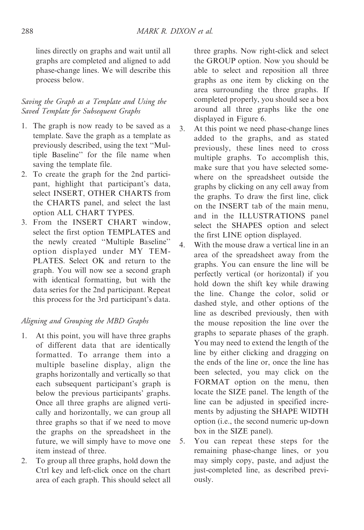lines directly on graphs and wait until all graphs are completed and aligned to add phase-change lines. We will describe this process below.

# Saving the Graph as a Template and Using the Saved Template for Subsequent Graphs

- 1. The graph is now ready to be saved as a template. Save the graph as a template as previouslydescribed, using the text ''Multiple Baseline'' for the file name when saving the template file.
- 2. To create the graph for the 2nd participant, highlight that participant's data, select INSERT, OTHER CHARTS from the CHARTS panel, and select the last option ALL CHART TYPES.
- 3. From the INSERT CHART window, select the first option TEMPLATES and the newly created "Multiple Baseline" option displayed under MY TEM-PLATES. Select OK and return to the graph. You will now see a second graph with identical formatting, but with the data series for the 2nd participant. Repeat this process for the 3rd participant's data.

# Aligning and Grouping the MBD Graphs

- 1. At this point, you will have three graphs of different data that are identically formatted. To arrange them into a multiple baseline display, align the graphs horizontallyand verticallyso that each subsequent participant's graph is below the previous participants' graphs. Once all three graphs are aligned vertically and horizontally, we can group all three graphs so that if we need to move the graphs on the spreadsheet in the future, we will simply have to move one item instead of three.
- 2. To group all three graphs, hold down the Ctrl keyand left-click once on the chart area of each graph. This should select all

three graphs. Now right-click and select the GROUP option. Now you should be able to select and reposition all three graphs as one item byclicking on the area surrounding the three graphs. If completed properly, you should see a box around all three graphs like the one displayed in Figure 6.

- 3. At this point we need phase-change lines added to the graphs, and as stated previously, these lines need to cross multiple graphs. To accomplish this, make sure that you have selected somewhere on the spreadsheet outside the graphs byclicking on anycell awayfrom the graphs. To draw the first line, click on the INSERT tab of the main menu, and in the ILLUSTRATIONS panel select the SHAPES option and select the first LINE option displayed.
- 4. With the mouse draw a vertical line in an area of the spreadsheet away from the graphs. You can ensure the line will be perfectly vertical (or horizontal) if you hold down the shift key while drawing the line. Change the color, solid or dashed style, and other options of the line as described previously, then with the mouse reposition the line over the graphs to separate phases of the graph. You mayneed to extend the length of the line by either clicking and dragging on the ends of the line or, once the line has been selected, you may click on the FORMAT option on the menu, then locate the SIZE panel. The length of the line can be adjusted in specified increments byadjusting the SHAPE WIDTH option (i.e., the second numeric up-down box in the SIZE panel).
- 5. You can repeat these steps for the remaining phase-change lines, or you may simply copy, paste, and adjust the just-completed line, as described previously.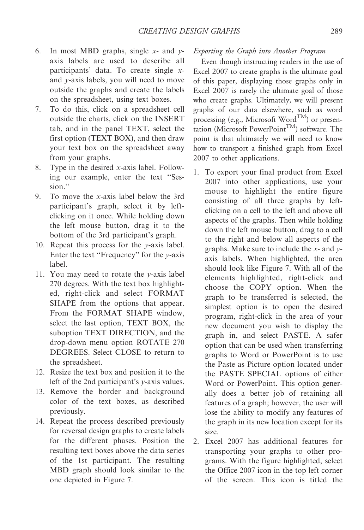- 6. In most MBD graphs, single  $x$  and  $y$ axis labels are used to describe all participants' data. To create single xand y-axis labels, you will need to move outside the graphs and create the labels on the spreadsheet, using text boxes.
- 7. To do this, click on a spreadsheet cell outside the charts, click on the INSERT tab, and in the panel TEXT, select the first option (TEXT BOX), and then draw your text box on the spreadsheet away from your graphs.
- 8. Type in the desired x-axis label. Following our example, enter the text ''Session.''
- 9. To move the x-axis label below the 3rd participant's graph, select it by leftclicking on it once. While holding down the left mouse button, drag it to the bottom of the 3rd participant's graph.
- 10. Repeat this process for the  $y$ -axis label. Enter the text "Frequency" for the  $y$ -axis label.
- 11. You may need to rotate the  $y$ -axis label 270 degrees. With the text box highlighted, right-click and select FORMAT SHAPE from the options that appear. From the FORMAT SHAPE window, select the last option, TEXT BOX, the suboption TEXT DIRECTION, and the drop-down menu option ROTATE 270 DEGREES. Select CLOSE to return to the spreadsheet.
- 12. Resize the text box and position it to the left of the 2nd participant's y-axis values.
- 13. Remove the border and background color of the text boxes, as described previously.
- 14. Repeat the process described previously for reversal design graphs to create labels for the different phases. Position the resulting text boxes above the data series of the 1st participant. The resulting MBD graph should look similar to the one depicted in Figure 7.

#### Exporting the Graph into Another Program

Even though instructing readers in the use of Excel 2007 to create graphs is the ultimate goal of this paper, displaying those graphs only in Excel 2007 is rarely the ultimate goal of those who create graphs. Ultimately, we will present graphs of our data elsewhere, such as word processing (e.g., Microsoft Word<sup>TM</sup>) or presentation (Microsoft PowerPoint<sup>TM</sup>) software. The point is that ultimately we will need to know how to transport a finished graph from Excel 2007 to other applications.

- 1. To export your final product from Excel 2007 into other applications, use your mouse to highlight the entire figure consisting of all three graphs by leftclicking on a cell to the left and above all aspects of the graphs. Then while holding down the left mouse button, drag to a cell to the right and below all aspects of the graphs. Make sure to include the  $x$ - and  $y$ axis labels. When highlighted, the area should look like Figure 7. With all of the elements highlighted, right-click and choose the COPY option. When the graph to be transferred is selected, the simplest option is to open the desired program, right-click in the area of your new document you wish to display the graph in, and select PASTE. A safer option that can be used when transferring graphs to Word or PowerPoint is to use the Paste as Picture option located under the PASTE SPECIAL options of either Word or PowerPoint. This option generallydoes a better job of retaining all features of a graph; however, the user will lose the ability to modify any features of the graph in its new location except for its size.
- 2. Excel 2007 has additional features for transporting your graphs to other programs. With the figure highlighted, select the Office 2007 icon in the top left corner of the screen. This icon is titled the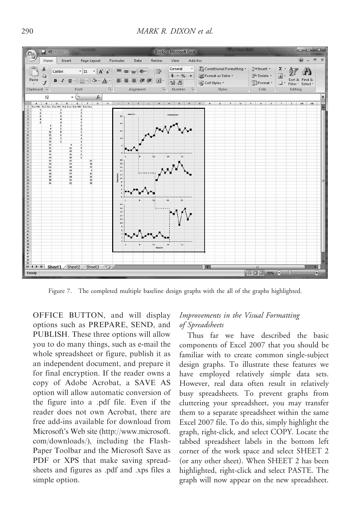

Figure 7. The completed multiple baseline design graphs with the all of the graphs highlighted.

OFFICE BUTTON, and will display options such as PREPARE, SEND, and PUBLISH. These three options will allow you to do many things, such as e-mail the whole spreadsheet or figure, publish it as an independent document, and prepare it for final encryption. If the reader owns a copy of Adobe Acrobat, a SAVE AS option will allow automatic conversion of the figure into a .pdf file. Even if the reader does not own Acrobat, there are free add-ins available for download from Microsoft's Web site (http://www.microsoft. com/downloads/), including the Flash-Paper Toolbar and the Microsoft Save as PDF or XPS that make saving spreadsheets and figures as .pdf and .xps files a simple option.

## Improvements in the Visual Formatting of Spreadsheets

Thus far we have described the basic components of Excel 2007 that you should be familiar with to create common single-subject design graphs. To illustrate these features we have employed relatively simple data sets. However, real data often result in relatively busy spreadsheets. To prevent graphs from cluttering your spreadsheet, you may transfer them to a separate spreadsheet within the same Excel 2007 file. To do this, simply highlight the graph, right-click, and select COPY. Locate the tabbed spreadsheet labels in the bottom left corner of the work space and select SHEET 2 (or any other sheet). When SHEET 2 has been highlighted, right-click and select PASTE. The graph will now appear on the new spreadsheet.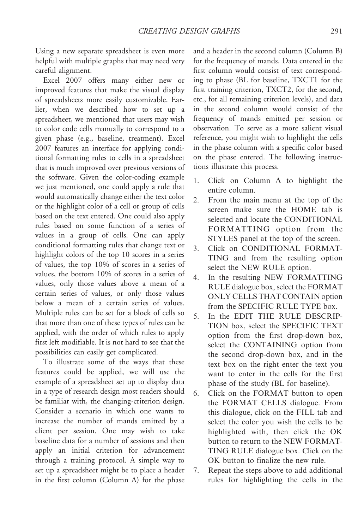Using a new separate spreadsheet is even more helpful with multiple graphs that may need very careful alignment.

Excel 2007 offers many either new or improved features that make the visual display of spreadsheets more easily customizable. Earlier, when we described how to set up a spreadsheet, we mentioned that users may wish to color code cells manually to correspond to a given phase (e.g., baseline, treatment). Excel 2007 features an interface for applying conditional formatting rules to cells in a spreadsheet that is much improved over previous versions of the software. Given the color-coding example we just mentioned, one could apply a rule that would automatically change either the text color or the highlight color of a cell or group of cells based on the text entered. One could also apply rules based on some function of a series of values in a group of cells. One can apply conditional formatting rules that change text or highlight colors of the top 10 scores in a series of values, the top 10% of scores in a series of values, the bottom 10% of scores in a series of values, only those values above a mean of a certain series of values, or only those values below a mean of a certain series of values. Multiple rules can be set for a block of cells so that more than one of these types of rules can be applied, with the order of which rules to apply first left modifiable. It is not hard to see that the possibilities can easily get complicated.

To illustrate some of the ways that these features could be applied, we will use the example of a spreadsheet set up to display data in a type of research design most readers should be familiar with, the changing-criterion design. Consider a scenario in which one wants to increase the number of mands emitted by a client per session. One may wish to take baseline data for a number of sessions and then apply an initial criterion for advancement through a training protocol. A simple way to set up a spreadsheet might be to place a header in the first column (Column A) for the phase and a header in the second column (Column B) for the frequency of mands. Data entered in the first column would consist of text corresponding to phase (BL for baseline, TXCT1 for the first training criterion, TXCT2, for the second, etc., for all remaining criterion levels), and data in the second column would consist of the frequency of mands emitted per session or observation. To serve as a more salient visual reference, you might wish to highlight the cells in the phase column with a specific color based on the phase entered. The following instructions illustrate this process.

- 1. Click on Column A to highlight the entire column.
- 2. From the main menu at the top of the screen make sure the HOME tab is selected and locate the CONDITIONAL FORMATTING option from the STYLES panel at the top of the screen.
- 3. Click on CONDITIONAL FORMAT-TING and from the resulting option select the NEW RULE option.
- 4. In the resulting NEW FORMATTING RULE dialogue box, select the FORMAT ONLY CELLS THAT CONTAIN option from the SPECIFIC RULE TYPE box.
- 5. In the EDIT THE RULE DESCRIP-TION box, select the SPECIFIC TEXT option from the first drop-down box, select the CONTAINING option from the second drop-down box, and in the text box on the right enter the text you want to enter in the cells for the first phase of the study(BL for baseline).
- 6. Click on the FORMAT button to open the FORMAT CELLS dialogue. From this dialogue, click on the FILL tab and select the color you wish the cells to be highlighted with, then click the OK button to return to the NEW FORMAT-TING RULE dialogue box. Click on the OK button to finalize the new rule.
- 7. Repeat the steps above to add additional rules for highlighting the cells in the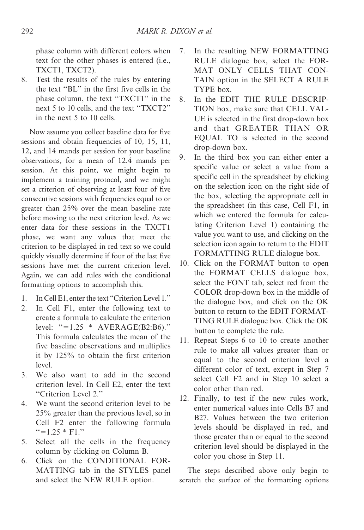phase column with different colors when text for the other phases is entered (i.e., TXCT1, TXCT2).

8. Test the results of the rules by entering the text ''BL'' in the first five cells in the phase column, the text ''TXCT1'' in the next 5 to 10 cells, and the text ''TXCT2'' in the next 5 to 10 cells.

Now assume you collect baseline data for five sessions and obtain frequencies of 10, 15, 11, 12, and 14 mands per session for your baseline observations, for a mean of 12.4 mands per session. At this point, we might begin to implement a training protocol, and we might set a criterion of observing at least four of five consecutive sessions with frequencies equal to or greater than 25% over the mean baseline rate before moving to the next criterion level. As we enter data for these sessions in the TXCT1 phase, we want any values that meet the criterion to be displayed in red text so we could quickly visually determine if four of the last five sessions have met the current criterion level. Again, we can add rules with the conditional formatting options to accomplish this.

- 1. In Cell E1, enter the text ''Criterion Level 1.''
- 2. In Cell F1, enter the following text to create a formula to calculate the criterion level: "=1.25 \* AVERAGE(B2:B6)." This formula calculates the mean of the five baseline observations and multiplies it by125% to obtain the first criterion level.
- 3. We also want to add in the second criterion level. In Cell E2, enter the text ''Criterion Level 2.''
- 4. We want the second criterion level to be 25% greater than the previous level, so in Cell F2 enter the following formula  $"=1.25 * F1."$
- 5. Select all the cells in the frequency column by clicking on Column B.
- 6. Click on the CONDITIONAL FOR-MATTING tab in the STYLES panel and select the NEW RULE option.
- 7. In the resulting NEW FORMATTING RULE dialogue box, select the FOR-MAT ONLY CELLS THAT CON-TAIN option in the SELECT A RULE TYPE box.
- 8. In the EDIT THE RULE DESCRIP-TION box, make sure that CELL VAL-UE is selected in the first drop-down box and that GREATER THAN OR EQUAL TO is selected in the second drop-down box.
- 9. In the third box you can either enter a specific value or select a value from a specific cell in the spreadsheet by clicking on the selection icon on the right side of the box, selecting the appropriate cell in the spreadsheet (in this case, Cell F1, in which we entered the formula for calculating Criterion Level 1) containing the value you want to use, and clicking on the selection icon again to return to the EDIT FORMATTING RULE dialogue box.
- 10. Click on the FORMAT button to open the FORMAT CELLS dialogue box, select the FONT tab, select red from the COLOR drop-down box in the middle of the dialogue box, and click on the OK button to return to the EDIT FORMAT-TING RULE dialogue box. Click the OK button to complete the rule.
- 11. Repeat Steps 6 to 10 to create another rule to make all values greater than or equal to the second criterion level a different color of text, except in Step 7 select Cell F2 and in Step 10 select a color other than red.
- 12. Finally, to test if the new rules work, enter numerical values into Cells B7 and B27. Values between the two criterion levels should be displayed in red, and those greater than or equal to the second criterion level should be displayed in the color you chose in Step 11.

The steps described above only begin to scratch the surface of the formatting options